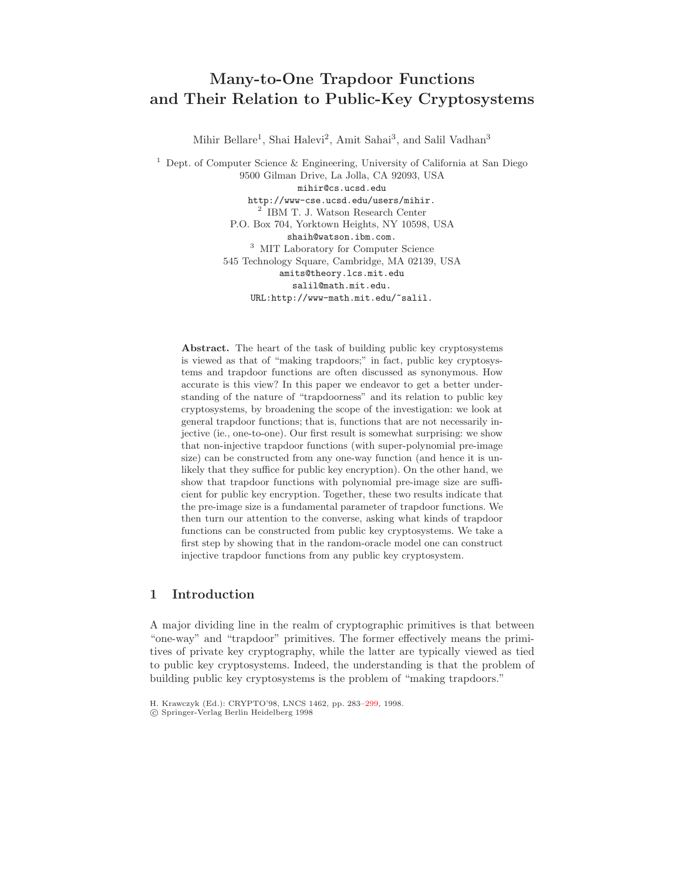# **Many-to-One Trapdoor Functions and Their Relation to Public-Key Cryptosystems**

Mihir Bellare<sup>1</sup>, Shai Halevi<sup>2</sup>, Amit Sahai<sup>3</sup>, and Salil Vadhan<sup>3</sup>

<sup>1</sup> Dept. of Computer Science & Engineering, University of California at San Diego 9500 Gilman Drive, La Jolla, CA 92093, USA mihir@cs.ucsd.edu http://www-cse.ucsd.edu/users/mihir. <sup>2</sup> IBM T. J. Watson Research Center P.O. Box 704, Yorktown Heights, NY 10598, USA shaih@watson.ibm.com. <sup>3</sup> MIT Laboratory for Computer Science 545 Technology Square, Cambridge, MA 02139, USA amits@theory.lcs.mit.edu salil@math.mit.edu. URL:http://www-math.mit.edu/~salil.

**Abstract.** The heart of the task of building public key cryptosystems is viewed as that of "making trapdoors;" in fact, public key cryptosystems and trapdoor functions are often discussed as synonymous. How accurate is this view? In this paper we endeavor to get a better understanding of the nature of "trapdoorness" and its relation to public key cryptosystems, by broadening the scope of the investigation: we look at general trapdoor functions; that is, functions that are not necessarily injective (ie., one-to-one). Our first result is somewhat surprising: we show that non-injective trapdoor functions (with super-polynomial pre-image size) can be constructed from any one-way function (and hence it is unlikely that they suffice for public key encryption). On the other hand, we show that trapdoor functions with polynomial pre-image size are sufficient for public key encryption. Together, these two results indicate that the pre-image size is a fundamental parameter of trapdoor functions. We then turn our attention to the converse, asking what kinds of trapdoor functions can be constructed from public key cryptosystems. We take a first step by showing that in the random-oracle model one can construct injective trapdoor functions from any public key cryptosystem.

# **1 Introduction**

A major dividing line in the realm of cryptographic primitives is that between "one-way" and "trapdoor" primitives. The former effectively means the primitives of private key cryptography, while the latter are typically viewed as tied to public key cryptosystems. Indeed, the understanding is that the problem of building public key cryptosystems is the problem of "making trapdoors."

H. Krawczyk (Ed.): CRYPTO'98, LNCS 1462, pp. 283[–299,](#page-16-0) 1998.

c Springer-Verlag Berlin Heidelberg 1998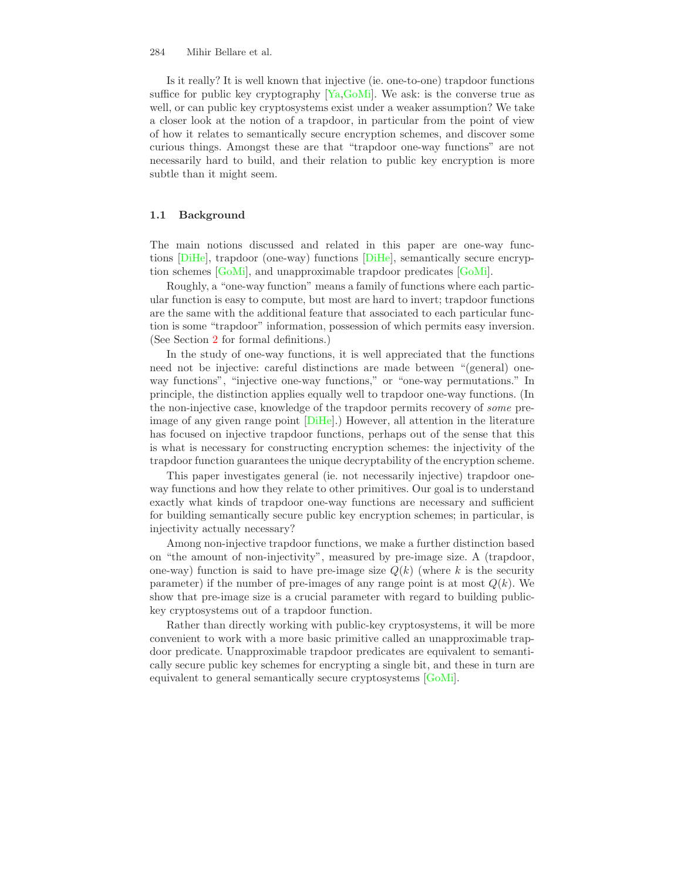<span id="page-1-1"></span><span id="page-1-0"></span>Is it really? It is well known that injective (ie. one-to-one) trapdoor functions suffice for public key cryptography [\[Ya](#page-16-1)[,GoMi\]](#page-15-0). We ask: is the converse true as well, or can public key cryptosystems exist under a weaker assumption? We take a closer look at the notion of a trapdoor, in particular from the point of view of how it relates to semantically secure encryption schemes, and discover some curious things. Amongst these are that "trapdoor one-way functions" are not necessarily hard to build, and their relation to public key encryption is more subtle than it might seem.

#### **1.1 Background**

The main notions discussed and related in this paper are one-way functions [\[DiHe\]](#page-15-1), trapdoor (one-way) functions [\[DiHe\]](#page-15-1), semantically secure encryption schemes [\[GoMi\]](#page-15-0), and unapproximable trapdoor predicates [\[GoMi\]](#page-15-0).

Roughly, a "one-way function" means a family of functions where each particular function is easy to compute, but most are hard to invert; trapdoor functions are the same with the additional feature that associated to each particular function is some "trapdoor" information, possession of which permits easy inversion. (See Section [2](#page-4-0) for formal definitions.)

In the study of one-way functions, it is well appreciated that the functions need not be injective: careful distinctions are made between "(general) oneway functions", "injective one-way functions," or "one-way permutations." In principle, the distinction applies equally well to trapdoor one-way functions. (In the non-injective case, knowledge of the trapdoor permits recovery of *some* preimage of any given range point [\[DiHe\]](#page-15-1).) However, all attention in the literature has focused on injective trapdoor functions, perhaps out of the sense that this is what is necessary for constructing encryption schemes: the injectivity of the trapdoor function guarantees the unique decryptability of the encryption scheme.

This paper investigates general (ie. not necessarily injective) trapdoor oneway functions and how they relate to other primitives. Our goal is to understand exactly what kinds of trapdoor one-way functions are necessary and sufficient for building semantically secure public key encryption schemes; in particular, is injectivity actually necessary?

Among non-injective trapdoor functions, we make a further distinction based on "the amount of non-injectivity", measured by pre-image size. A (trapdoor, one-way) function is said to have pre-image size  $Q(k)$  (where k is the security parameter) if the number of pre-images of any range point is at most  $Q(k)$ . We show that pre-image size is a crucial parameter with regard to building publickey cryptosystems out of a trapdoor function.

Rather than directly working with public-key cryptosystems, it will be more convenient to work with a more basic primitive called an unapproximable trapdoor predicate. Unapproximable trapdoor predicates are equivalent to semantically secure public key schemes for encrypting a single bit, and these in turn are equivalent to general semantically secure cryptosystems [\[GoMi\]](#page-15-0).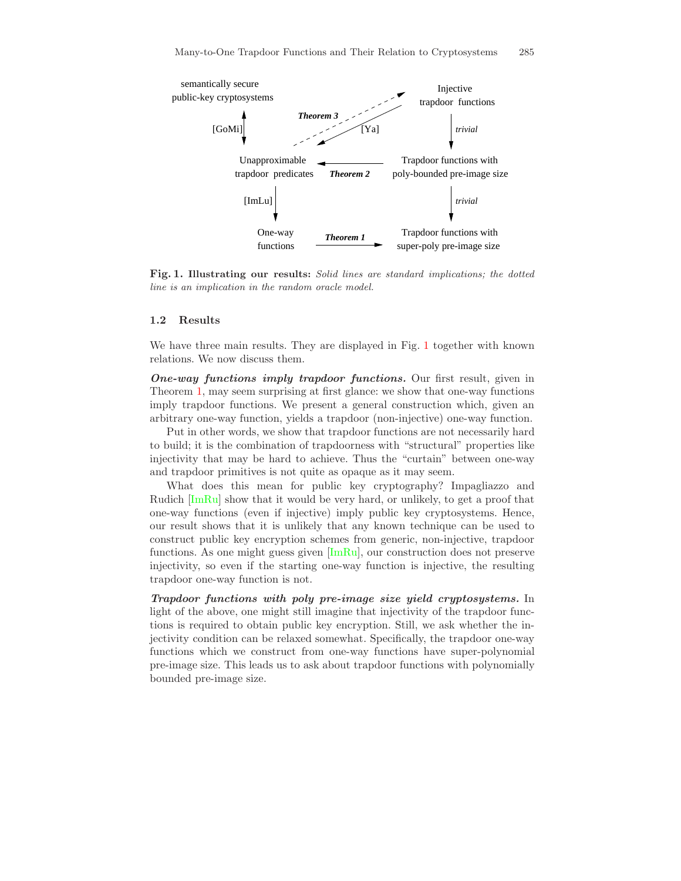<span id="page-2-2"></span>

<span id="page-2-0"></span>**Fig. 1. Illustrating our results:** Solid lines are standard implications; the dotted line is an implication in the random oracle model.

### <span id="page-2-1"></span>**1.2 Results**

We have three main results. They are displayed in Fig. [1](#page-2-0) together with known relations. We now discuss them.

*One-way functions imply trapdoor functions.* Our first result, given in Theorem [1,](#page-7-0) may seem surprising at first glance: we show that one-way functions imply trapdoor functions. We present a general construction which, given an arbitrary one-way function, yields a trapdoor (non-injective) one-way function.

Put in other words, we show that trapdoor functions are not necessarily hard to build; it is the combination of trapdoorness with "structural" properties like injectivity that may be hard to achieve. Thus the "curtain" between one-way and trapdoor primitives is not quite as opaque as it may seem.

What does this mean for public key cryptography? Impagliazzo and Rudich [\[ImRu\]](#page-16-2) show that it would be very hard, or unlikely, to get a proof that one-way functions (even if injective) imply public key cryptosystems. Hence, our result shows that it is unlikely that any known technique can be used to construct public key encryption schemes from generic, non-injective, trapdoor functions. As one might guess given  $\text{Im} \text{Ru}$ , our construction does not preserve injectivity, so even if the starting one-way function is injective, the resulting trapdoor one-way function is not.

*Trapdoor functions with poly pre-image size yield cryptosystems.* In light of the above, one might still imagine that injectivity of the trapdoor functions is required to obtain public key encryption. Still, we ask whether the injectivity condition can be relaxed somewhat. Specifically, the trapdoor one-way functions which we construct from one-way functions have super-polynomial pre-image size. This leads us to ask about trapdoor functions with polynomially bounded pre-image size.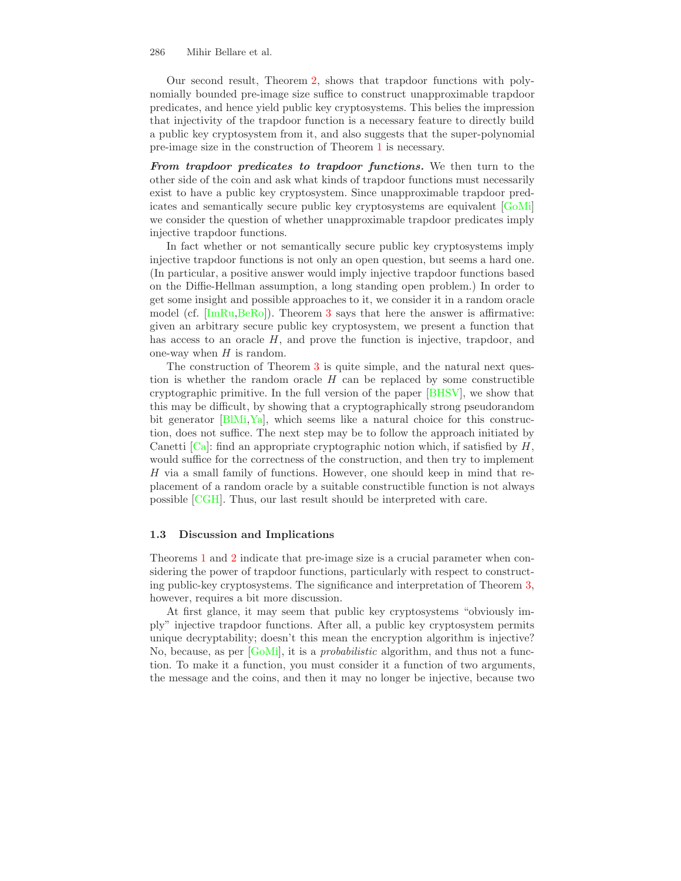<span id="page-3-2"></span><span id="page-3-1"></span>Our second result, Theorem [2,](#page-8-0) shows that trapdoor functions with polynomially bounded pre-image size suffice to construct unapproximable trapdoor predicates, and hence yield public key cryptosystems. This belies the impression that injectivity of the trapdoor function is a necessary feature to directly build a public key cryptosystem from it, and also suggests that the super-polynomial pre-image size in the construction of Theorem [1](#page-7-1) is necessary.

*From trapdoor predicates to trapdoor functions.* We then turn to the other side of the coin and ask what kinds of trapdoor functions must necessarily exist to have a public key cryptosystem. Since unapproximable trapdoor predicates and semantically secure public key cryptosystems are equivalent [\[GoMi\]](#page-15-0) we consider the question of whether unapproximable trapdoor predicates imply injective trapdoor functions.

In fact whether or not semantically secure public key cryptosystems imply injective trapdoor functions is not only an open question, but seems a hard one. (In particular, a positive answer would imply injective trapdoor functions based on the Diffie-Hellman assumption, a long standing open problem.) In order to get some insight and possible approaches to it, we consider it in a random oracle model (cf.  $[ImRu,BeRo]$  $[ImRu,BeRo]$ ). Theorem [3](#page-11-0) says that here the answer is affirmative: given an arbitrary secure public key cryptosystem, we present a function that has access to an oracle  $H$ , and prove the function is injective, trapdoor, and one-way when  $H$  is random.

The construction of Theorem [3](#page-11-0) is quite simple, and the natural next question is whether the random oracle  $H$  can be replaced by some constructible cryptographic primitive. In the full version of the paper [\[BHSV\]](#page-15-3), we show that this may be difficult, by showing that a cryptographically strong pseudorandom bit generator [\[BlMi,](#page-15-4) [Ya\]](#page-16-1), which seems like a natural choice for this construction, does not suffice. The next step may be to follow the approach initiated by Canetti  $[Ca]$ : find an appropriate cryptographic notion which, if satisfied by  $H$ , would suffice for the correctness of the construction, and then try to implement  $H$  via a small family of functions. However, one should keep in mind that replacement of a random oracle by a suitable constructible function is not always possible [\[CGH\]](#page-15-6). Thus, our last result should be interpreted with care.

#### <span id="page-3-0"></span>**1.3 Discussion and Implications**

Theorems [1](#page-7-1) and [2](#page-8-0) indicate that pre-image size is a crucial parameter when considering the power of trapdoor functions, particularly with respect to constructing public-key cryptosystems. The significance and interpretation of Theorem [3,](#page-11-0) however, requires a bit more discussion.

At first glance, it may seem that public key cryptosystems "obviously imply" injective trapdoor functions. After all, a public key cryptosystem permits unique decryptability; doesn't this mean the encryption algorithm is injective? No, because, as per [\[GoMi\]](#page-15-0), it is a *probabilistic* algorithm, and thus not a function. To make it a function, you must consider it a function of two arguments, the message and the coins, and then it may no longer be injective, because two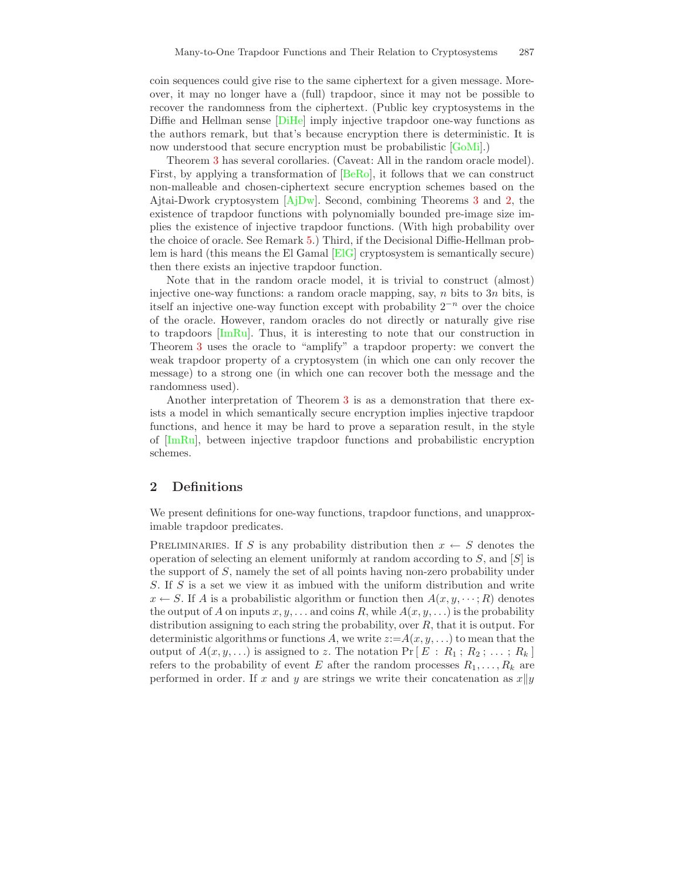<span id="page-4-2"></span><span id="page-4-1"></span>coin sequences could give rise to the same ciphertext for a given message. Moreover, it may no longer have a (full) trapdoor, since it may not be possible to recover the randomness from the ciphertext. (Public key cryptosystems in the Diffie and Hellman sense [\[DiHe\]](#page-15-7) imply injective trapdoor one-way functions as the authors remark, but that's because encryption there is deterministic. It is now understood that secure encryption must be probabilistic [\[GoMi\]](#page-15-8).)

Theorem [3](#page-11-1) has several corollaries. (Caveat: All in the random oracle model). First, by applying a transformation of [\[BeRo\]](#page-15-9), it follows that we can construct non-malleable and chosen-ciphertext secure encryption schemes based on the Ajtai-Dwork cryptosystem [\[AjDw\]](#page-15-10). Second, combining Theorems [3](#page-11-1) and [2,](#page-8-1) the existence of trapdoor functions with polynomially bounded pre-image size implies the existence of injective trapdoor functions. (With high probability over the choice of oracle. See Remark [5.](#page-14-0)) Third, if the Decisional Diffie-Hellman problem is hard (this means the El Gamal [\[ElG\]](#page-15-11) cryptosystem is semantically secure) then there exists an injective trapdoor function.

Note that in the random oracle model, it is trivial to construct (almost) injective one-way functions: a random oracle mapping, say, n bits to  $3n$  bits, is itself an injective one-way function except with probability  $2^{-n}$  over the choice of the oracle. However, random oracles do not directly or naturally give rise to trapdoors  $[\text{Im} \text{Ru}]$ . Thus, it is interesting to note that our construction in Theorem [3](#page-11-1) uses the oracle to "amplify" a trapdoor property: we convert the weak trapdoor property of a cryptosystem (in which one can only recover the message) to a strong one (in which one can recover both the message and the randomness used).

Another interpretation of Theorem [3](#page-11-1) is as a demonstration that there exists a model in which semantically secure encryption implies injective trapdoor functions, and hence it may be hard to prove a separation result, in the style of [\[ImRu\]](#page-16-2), between injective trapdoor functions and probabilistic encryption schemes.

# <span id="page-4-0"></span>**2 Definitions**

We present definitions for one-way functions, trapdoor functions, and unapproximable trapdoor predicates.

PRELIMINARIES. If S is any probability distribution then  $x \leftarrow S$  denotes the operation of selecting an element uniformly at random according to  $S$ , and  $[S]$  is the support of S, namely the set of all points having non-zero probability under S. If S is a set we view it as imbued with the uniform distribution and write  $x \leftarrow S$ . If A is a probabilistic algorithm or function then  $A(x, y, \dots; R)$  denotes the output of A on inputs  $x, y, \ldots$  and coins R, while  $A(x, y, \ldots)$  is the probability distribution assigning to each string the probability, over  $R$ , that it is output. For deterministic algorithms or functions A, we write  $z:=A(x, y, \ldots)$  to mean that the output of  $A(x, y, \ldots)$  is assigned to z. The notation  $Pr[ E : R_1; R_2; \ldots; R_k ]$ refers to the probability of event E after the random processes  $R_1, \ldots, R_k$  are performed in order. If x and y are strings we write their concatenation as  $x||y$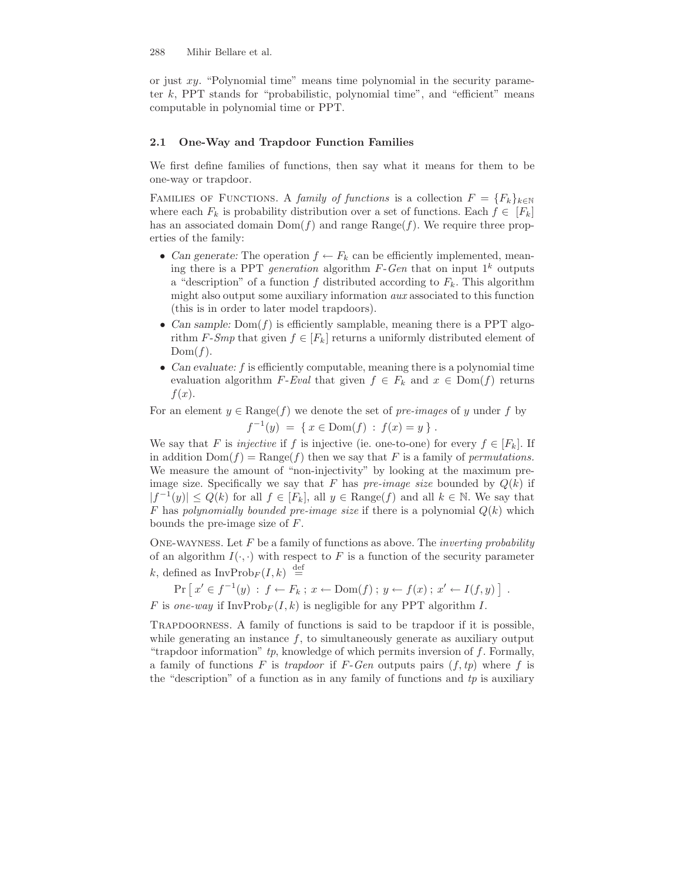or just  $xy$ . "Polynomial time" means time polynomial in the security parameter  $k$ , PPT stands for "probabilistic, polynomial time", and "efficient" means computable in polynomial time or PPT.

### **2.1 One-Way and Trapdoor Function Families**

We first define families of functions, then say what it means for them to be one-way or trapdoor.

FAMILIES OF FUNCTIONS. A *family of functions* is a collection  $F = \{F_k\}_{k\in\mathbb{N}}$ where each  $F_k$  is probability distribution over a set of functions. Each  $f \in [F_k]$ has an associated domain  $Dom(f)$  and range Range $(f)$ . We require three properties of the family:

- *Can generate:* The operation  $f \leftarrow F_k$  can be efficiently implemented, meaning there is a PPT *generation* algorithm  $F$ -*Gen* that on input  $1^k$  outputs a "description" of a function f distributed according to  $F_k$ . This algorithm might also output some auxiliary information *aux* associated to this function (this is in order to later model trapdoors).
- *Can sample:* Dom $(f)$  is efficiently samplable, meaning there is a PPT algorithm F-Smp that given  $f \in [F_k]$  returns a uniformly distributed element of  $Dom(f)$ .
- *Can evaluate:* f is efficiently computable, meaning there is a polynomial time evaluation algorithm F-*Eval* that given  $f \in F_k$  and  $x \in Dom(f)$  returns  $f(x)$ .

For an element  $y \in \text{Range}(f)$  we denote the set of *pre-images* of y under f by  $f^{-1}(y) = \{ x \in \text{Dom}(f) : f(x) = y \}.$ 

We say that F is *injective* if f is injective (ie. one-to-one) for every  $f \in [F_k]$ . If in addition  $Dom(f) = Range(f)$  then we say that F is a family of *permutations*. We measure the amount of "non-injectivity" by looking at the maximum preimage size. Specifically we say that F has *pre-image size* bounded by  $Q(k)$  if  $|f^{-1}(y)| \leq Q(k)$  for all  $f \in [F_k]$ , all  $y \in \text{Range}(f)$  and all  $k \in \mathbb{N}$ . We say that  $F$  has *polynomially bounded pre-image size* if there is a polynomial  $Q(k)$  which bounds the pre-image size of F.

One-wayness. Let F be a family of functions as above. The *inverting probability* of an algorithm  $I(\cdot, \cdot)$  with respect to F is a function of the security parameter k, defined as  $InvProb_F(I, k) \stackrel{\text{def}}{=}$ 

 $\Pr\left[x' \in f^{-1}(y) : f \leftarrow F_k : x \leftarrow \text{Dom}(f) : y \leftarrow f(x) : x' \leftarrow I(f, y) \right]$ .

F is *one-way* if  $InvProb_F(I, k)$  is negligible for any PPT algorithm I.

Trapdoorness. A family of functions is said to be trapdoor if it is possible, while generating an instance  $f$ , to simultaneously generate as auxiliary output "trapdoor information" *tp*, knowledge of which permits inversion of f. Formally, a family of functions F is *trapdoor* if F-Gen outputs pairs  $(f, tp)$  where f is the "description" of a function as in any family of functions and *tp* is auxiliary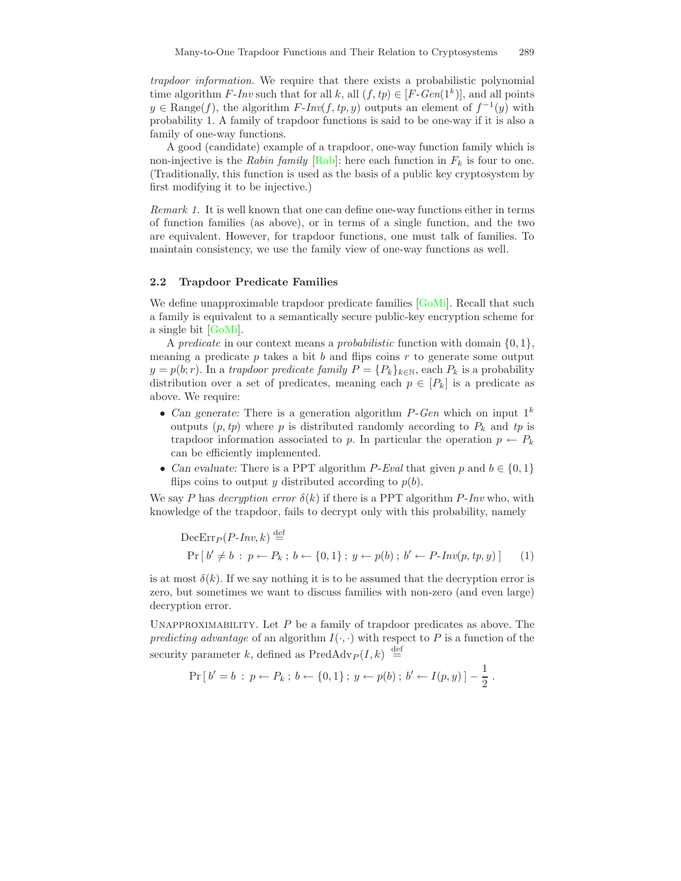<span id="page-6-2"></span><span id="page-6-1"></span>*trapdoor information*. We require that there exists a probabilistic polynomial time algorithm F-Inv such that for all k, all  $(f, tp) \in [F\text{-}Gen(1^k)]$ , and all points  $y \in \text{Range}(f)$ , the algorithm  $F$ -*Inv*( $f, tp, y$ ) outputs an element of  $f^{-1}(y)$  with probability 1. A family of trapdoor functions is said to be one-way if it is also a family of one-way functions.

A good (candidate) example of a trapdoor, one-way function family which is non-injective is the *Rabin family* [\[Rab\]](#page-16-4): here each function in  $F_k$  is four to one. (Traditionally, this function is used as the basis of a public key cryptosystem by first modifying it to be injective.)

*Remark 1.* It is well known that one can define one-way functions either in terms of function families (as above), or in terms of a single function, and the two are equivalent. However, for trapdoor functions, one must talk of families. To maintain consistency, we use the family view of one-way functions as well.

#### **2.2 Trapdoor Predicate Families**

We define unapproximable trapdoor predicate families [\[GoMi\]](#page-15-8). Recall that such a family is equivalent to a semantically secure public-key encryption scheme for a single bit [\[GoMi\]](#page-15-8).

<sup>A</sup> *predicate* in our context means a *probabilistic* function with domain {0, <sup>1</sup>}, meaning a predicate  $p$  takes a bit  $b$  and flips coins  $r$  to generate some output  $y = p(b; r)$ . In a *trapdoor predicate family*  $P = \{P_k\}_{k \in \mathbb{N}}$ , each  $P_k$  is a probability distribution over a set of predicates, meaning each  $p \in [P_k]$  is a predicate as above. We require:

- *Can generate:* There is a generation algorithm P-*Gen* which on input 1<sup>k</sup> outputs  $(p, tp)$  where p is distributed randomly according to  $P_k$  and  $tp$  is trapdoor information associated to p. In particular the operation  $p \leftarrow P_k$ can be efficiently implemented.
- *Can evaluate:* There is a PPT algorithm *P-Eval* that given p and  $b \in \{0, 1\}$ flips coins to output y distributed according to  $p(b)$ .

<span id="page-6-0"></span>We say P has *decryption error*  $\delta(k)$  if there is a PPT algorithm P-*Inv* who, with knowledge of the trapdoor, fails to decrypt only with this probability, namely

$$
\begin{aligned} \text{DecErr}_P(P\text{-}Inv, k) & \stackrel{\text{def}}{=} \\ \text{Pr}\left[b' \neq b \, : \, p \leftarrow P_k \, ; \, b \leftarrow \{0, 1\} \, ; \, y \leftarrow p(b) \, ; \, b' \leftarrow P\text{-}Inv(p, tp, y) \, \right] \end{aligned} \tag{1}
$$

is at most  $\delta(k)$ . If we say nothing it is to be assumed that the decryption error is zero, but sometimes we want to discuss families with non-zero (and even large) decryption error.

UNAPPROXIMABILITY. Let  $P$  be a family of trapdoor predicates as above. The *predicting advantage* of an algorithm  $I(\cdot, \cdot)$  with respect to P is a function of the security parameter k, defined as  $PredAdv_{P}(I,k) \stackrel{\text{def}}{=}$ 

$$
Pr [ b' = b : p \leftarrow P_k ; b \leftarrow \{0,1\} ; y \leftarrow p(b) ; b' \leftarrow I(p,y) ] - \frac{1}{2}.
$$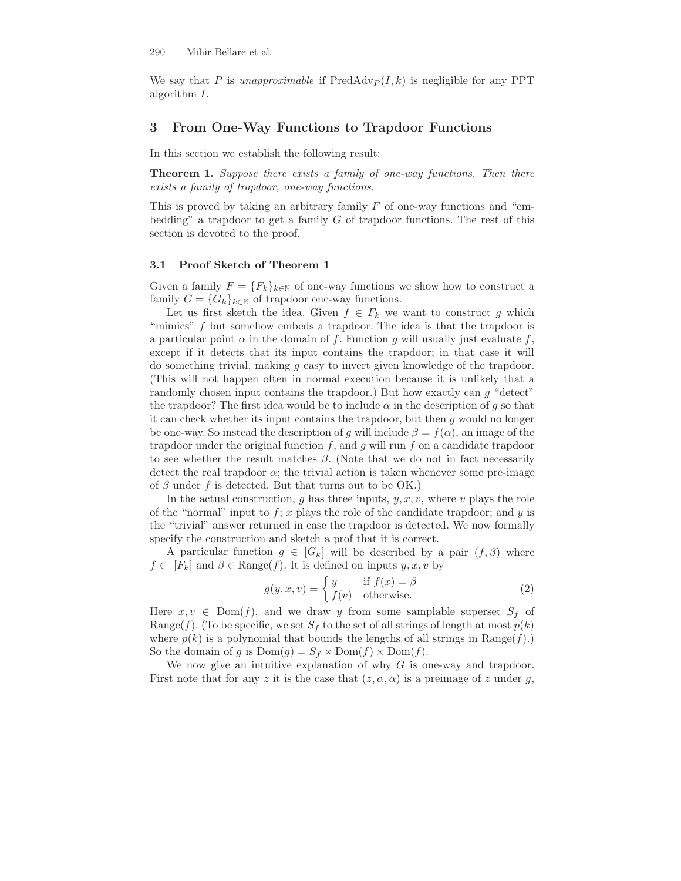We say that P is *unapproximable* if  $PredAdv_{P}(I,k)$  is negligible for any PPT algorithm I.

### **3 From One-Way Functions to Trapdoor Functions**

<span id="page-7-1"></span><span id="page-7-0"></span>In this section we establish the following result:

**Theorem 1.** *Suppose there exists a family of one-way functions. Then there exists a family of trapdoor, one-way functions.*

This is proved by taking an arbitrary family  $F$  of one-way functions and "embedding" a trapdoor to get a family  $G$  of trapdoor functions. The rest of this section is devoted to the proof.

#### <span id="page-7-2"></span>**3.1 Proof Sketch of Theorem 1**

Given a family  $F = \{F_k\}_{k \in \mathbb{N}}$  of one-way functions we show how to construct a family  $G = \{G_k\}_{k\in\mathbb{N}}$  of trapdoor one-way functions.

Let us first sketch the idea. Given  $f \in F_k$  we want to construct q which "mimics" f but somehow embeds a trapdoor. The idea is that the trapdoor is a particular point  $\alpha$  in the domain of f. Function g will usually just evaluate f, except if it detects that its input contains the trapdoor; in that case it will do something trivial, making g easy to invert given knowledge of the trapdoor. (This will not happen often in normal execution because it is unlikely that a randomly chosen input contains the trapdoor.) But how exactly can  $g$  "detect" the trapdoor? The first idea would be to include  $\alpha$  in the description of q so that it can check whether its input contains the trapdoor, but then g would no longer be one-way. So instead the description of g will include  $\beta = f(\alpha)$ , an image of the trapdoor under the original function  $f$ , and  $g$  will run  $f$  on a candidate trapdoor to see whether the result matches  $\beta$ . (Note that we do not in fact necessarily detect the real trapdoor  $\alpha$ ; the trivial action is taken whenever some pre-image of  $\beta$  under f is detected. But that turns out to be OK.)

In the actual construction, g has three inputs,  $y, x, v$ , where v plays the role of the "normal" input to  $f$ ; x plays the role of the candidate trapdoor; and y is the "trivial" answer returned in case the trapdoor is detected. We now formally specify the construction and sketch a prof that it is correct.

A particular function  $g \in [G_k]$  will be described by a pair  $(f, \beta)$  where  $f \in [F_k]$  and  $\beta \in \text{Range}(f)$ . It is defined on inputs  $y, x, v$  by

$$
g(y, x, v) = \begin{cases} y & \text{if } f(x) = \beta \\ f(v) & \text{otherwise.} \end{cases}
$$
 (2)

Here  $x, v \in \text{Dom}(f)$ , and we draw y from some samplable superset  $S_f$  of Bange(f) (To be specific we set  $S_f$  to the set of all strings of length at most  $p(k)$ Range(f). (To be specific, we set  $S_f$  to the set of all strings of length at most  $p(k)$ where  $p(k)$  is a polynomial that bounds the lengths of all strings in Range(f).) So the domain of g is  $Dom(g) = S_f \times Dom(f) \times Dom(f)$ .

We now give an intuitive explanation of why  $G$  is one-way and trapdoor. First note that for any z it is the case that  $(z, \alpha, \alpha)$  is a preimage of z under g,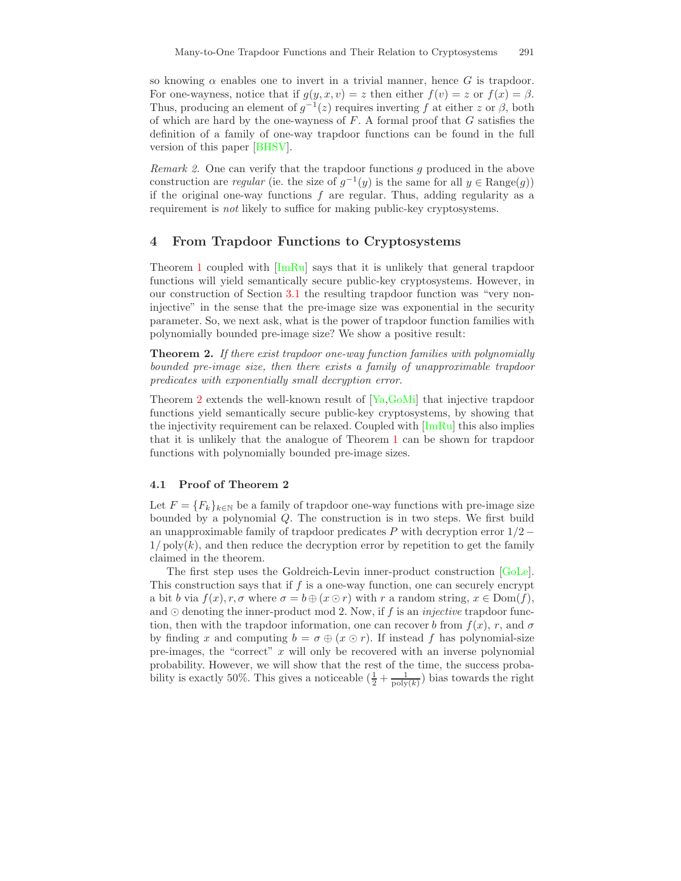<span id="page-8-3"></span><span id="page-8-2"></span>so knowing  $\alpha$  enables one to invert in a trivial manner, hence G is trapdoor. For one-wayness, notice that if  $q(y, x, v) = z$  then either  $f(v) = z$  or  $f(x) = \beta$ . Thus, producing an element of  $g^{-1}(z)$  requires inverting f at either z or  $\beta$ , both of which are hard by the one-wayness of  $F$ . A formal proof that  $G$  satisfies the definition of a family of one-way trapdoor functions can be found in the full version of this paper [\[BHSV\]](#page-15-12).

*Remark 2.* One can verify that the trapdoor functions g produced in the above construction are *regular* (ie. the size of  $g^{-1}(y)$  is the same for all  $y \in \text{Range}(g)$ ) if the original one-way functions  $f$  are regular. Thus, adding regularity as a requirement is *not* likely to suffice for making public-key cryptosystems.

# **4 From Trapdoor Functions to Cryptosystems**

Theorem [1](#page-7-0) coupled with [\[ImRu\]](#page-16-2) says that it is unlikely that general trapdoor functions will yield semantically secure public-key cryptosystems. However, in our construction of Section [3.1](#page-7-2) the resulting trapdoor function was "very noninjective" in the sense that the pre-image size was exponential in the security parameter. So, we next ask, what is the power of trapdoor function families with polynomially bounded pre-image size? We show a positive result:

<span id="page-8-1"></span><span id="page-8-0"></span>**Theorem 2.** *If there exist trapdoor one-way function families with polynomially bounded pre-image size, then there exists a family of unapproximable trapdoor predicates with exponentially small decryption error.*

Theorem [2](#page-8-1) extends the well-known result of [\[Ya](#page-16-5)[,GoMi\]](#page-15-8) that injective trapdoor functions yield semantically secure public-key cryptosystems, by showing that the injectivity requirement can be relaxed. Coupled with  $[ImRu]$  this also implies that it is unlikely that the analogue of Theorem [1](#page-7-0) can be shown for trapdoor functions with polynomially bounded pre-image sizes.

### **4.1 Proof of Theorem 2**

Let  $F = \{F_k\}_{k \in \mathbb{N}}$  be a family of trapdoor one-way functions with pre-image size bounded by a polynomial Q. The construction is in two steps. We first build an unapproximable family of trapdoor predicates P with decryption error  $1/2 1/\text{poly}(k)$ , and then reduce the decryption error by repetition to get the family claimed in the theorem.

The first step uses the Goldreich-Levin inner-product construction [\[GoLe\]](#page-15-13). This construction says that if  $f$  is a one-way function, one can securely encrypt a bit b via  $f(x), r, \sigma$  where  $\sigma = b \oplus (x \odot r)$  with r a random string,  $x \in Dom(f)$ , and  $\odot$  denoting the inner-product mod 2. Now, if f is an *injective* trapdoor function, then with the trapdoor information, one can recover b from  $f(x)$ , r, and  $\sigma$ by finding x and computing  $b = \sigma \oplus (x \odot r)$ . If instead f has polynomial-size pre-images, the "correct"  $x$  will only be recovered with an inverse polynomial probability. However, we will show that the rest of the time, the success probability is exactly 50%. This gives a noticeable  $(\frac{1}{2} + \frac{1}{\text{poly}(k)})$  bias towards the right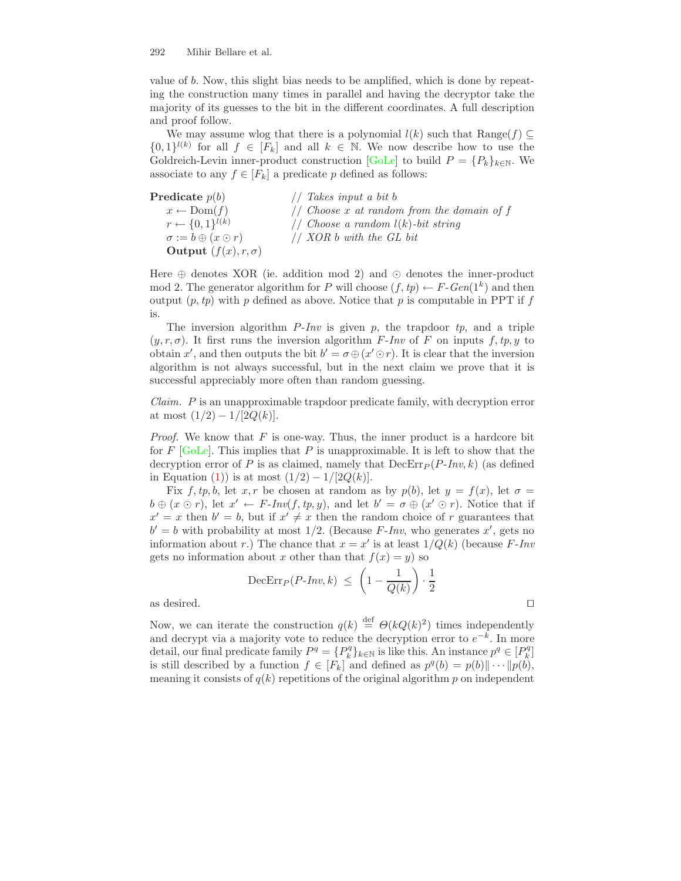<span id="page-9-0"></span>value of b. Now, this slight bias needs to be amplified, which is done by repeating the construction many times in parallel and having the decryptor take the majority of its guesses to the bit in the different coordinates. A full description and proof follow.

We may assume wlog that there is a polynomial  $l(k)$  such that  $\text{Range}(f) \subseteq$  ${0, 1}^{l(k)}$  for all  $f \in [F_k]$  and all  $k \in \mathbb{N}$ . We now describe how to use the Goldreich-Levin inner-product construction [\[GoLe\]](#page-15-14) to build  $P = \{P_k\}_{k \in \mathbb{N}}$ . We associate to any  $f \in [F_k]$  a predicate p defined as follows:

**Predicate**  $p(b)$  // *Takes input a bit b*<br> $x \leftarrow \text{Dom}(f)$  // *Choose x at randor*  $x \leftarrow Dom(f)$  // *Choose* x at random from the domain of f<br>  $r \leftarrow \{0,1\}^{l(k)}$  // *Choose* a random  $l(k)$ -bit string  $r \leftarrow \{0,1\}^{l(k)}$  // *Choose a random*  $l(k)$ -bit string  $\sigma := b \oplus (x \odot r)$  // *XOR b with the GL bit*  $\frac{1}{2}$  *XOR b with the GL bit* **Output**  $(f(x), r, \sigma)$ 

Here  $\oplus$  denotes XOR (ie. addition mod 2) and  $\odot$  denotes the inner-product mod 2. The generator algorithm for P will choose  $(f, tp) \leftarrow F\text{-}Gen(1^k)$  and then output  $(p, tp)$  with p defined as above. Notice that p is computable in PPT if f is.

The inversion algorithm P-*Inv* is given p, the trapdoor *tp*, and a triple  $(y, r, \sigma)$ . It first runs the inversion algorithm F-*Inv* of F on inputs f, tp, y to obtain x', and then outputs the bit  $b' = \sigma \oplus (x' \odot r)$ . It is clear that the inversion algorithm is not always successful, but in the next claim we prove that it is algorithm is not always successful, but in the next claim we prove that it is successful appreciably more often than random guessing.

*Claim.* P is an unapproximable trapdoor predicate family, with decryption error at most  $(1/2) - 1/[2Q(k)].$ 

*Proof.* We know that F is one-way. Thus, the inner product is a hardcore bit for  $F$  [\[GoLe\]](#page-15-14). This implies that  $P$  is unapproximable. It is left to show that the decryption error of  $P$  is as claimed, namely that  $\text{DecErr}_P(P\text{-}Inv, k)$  (as defined in Equation [\(1\)](#page-6-0)) is at most  $(1/2) - 1/[2Q(k)].$ 

Fix f, tp, b, let x, r be chosen at random as by  $p(b)$ , let  $y = f(x)$ , let  $\sigma =$  $b \oplus (x \odot r)$ , let  $x' \leftarrow F\text{-}Inv(f, tp, y)$ , and let  $b' = \sigma \oplus (x' \odot r)$ . Notice that if  $x' = x$  then  $b' = b$ , but if  $x' \neq x$  then the random choice of r guarantees that  $b' = b$  with probability at most 1/2. (Because F-*Inv*, who generates x', gets no<br>information about x) The chance that  $x = x'$  is at least  $1/O(k)$  (because  $F_{\tau}Inx$ ) information about r.) The chance that  $x = x'$  is at least  $1/Q(k)$  (because F-*Inv* gets no information about x other than that  $f(x) = y$  so

$$
\text{DecErr}_P(P\text{-}Inv, k) \leq \left(1 - \frac{1}{Q(k)}\right) \cdot \frac{1}{2}
$$
 as desired.

Now, we can iterate the construction  $q(k) \stackrel{\text{def}}{=} \Theta(kQ(k)^2)$  times independently and decrypt via a majority vote to reduce the decryption error to  $e^{-\hat{k}}$ . In more detail, our final predicate family  $P^q = \{P_k^q\}_{k \in \mathbb{N}}$  is like this. An instance  $p^q \in [P_k^q]$ <br>is still described by a function  $f \in [F_k]$  and defined as  $p^q(h) = p(h) | \dots | p(h)$ is still described by a function  $f \in [F_k]$  and defined as  $p^q(b) = p(b) \cdots |p(b)$ , meaning it consists of  $q(k)$  repetitions of the original algorithm p on independent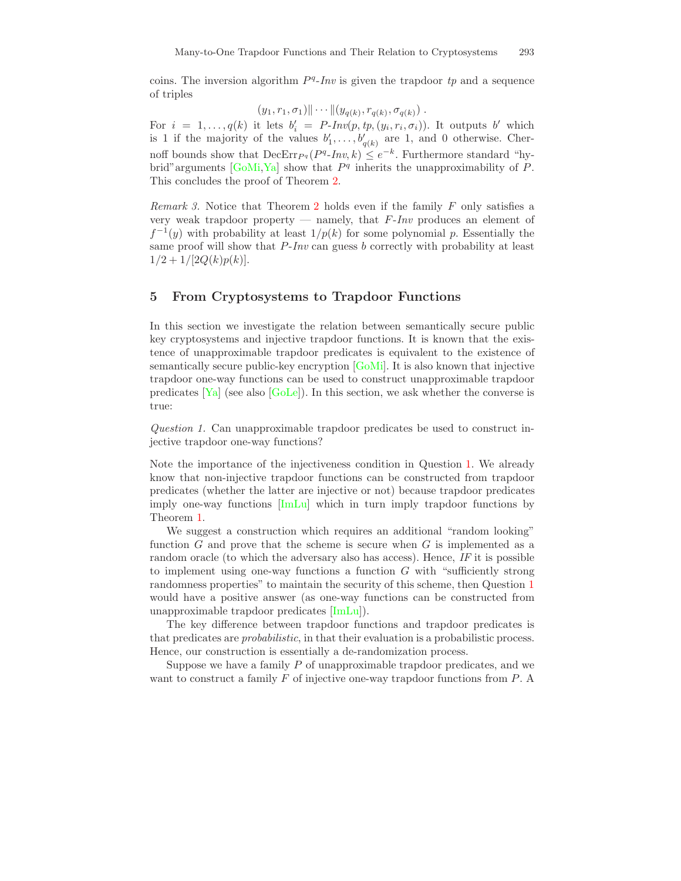<span id="page-10-2"></span><span id="page-10-1"></span>coins. The inversion algorithm  $P<sup>q</sup>$ -*Inv* is given the trapdoor  $tp$  and a sequence of triples

$$
(y_1, r_1, \sigma_1) \|\cdots\|(y_{q(k)}, r_{q(k)}, \sigma_{q(k)})
$$

For  $i = 1, ..., q(k)$  it lets  $b'_i = P$ -*Inv*( $p, tp, (y_i, r_i, \sigma_i)$ ). It outputs b' which is 1 if the majority of the values b' b' are 1 and 0 otherwise. Cheris 1 if the majority of the values  $b'_1, \ldots, b'_{q(k)}$  are 1, and 0 otherwise. Chernoff bounds show that  $\text{DecErr}_{P^q}(P^q\text{-}Inv, k) \leq e^{-k}$ . Furthermore standard "hybrid"arguments  $[Gomi,Ya]$  $[Gomi,Ya]$  show that  $P<sup>q</sup>$  inherits the unapproximability of P. This concludes the proof of Theorem [2.](#page-8-1)

*Remark 3.* Notice that Theorem [2](#page-8-1) holds even if the family F only satisfies a very weak trapdoor property — namely, that F-*Inv* produces an element of  $f^{-1}(y)$  with probability at least  $1/p(k)$  for some polynomial p. Essentially the same proof will show that P-*Inv* can guess b correctly with probability at least  $1/2+1/[2Q(k)p(k)].$ 

### **5 From Cryptosystems to Trapdoor Functions**

In this section we investigate the relation between semantically secure public key cryptosystems and injective trapdoor functions. It is known that the existence of unapproximable trapdoor predicates is equivalent to the existence of semantically secure public-key encryption [\[GoMi\]](#page-15-8). It is also known that injective trapdoor one-way functions can be used to construct unapproximable trapdoor predicates  $[Ya]$  (see also  $[GoLe]$ ). In this section, we ask whether the converse is true:

<span id="page-10-0"></span>*Question 1.* Can unapproximable trapdoor predicates be used to construct injective trapdoor one-way functions?

Note the importance of the injectiveness condition in Question [1.](#page-10-0) We already know that non-injective trapdoor functions can be constructed from trapdoor predicates (whether the latter are injective or not) because trapdoor predicates imply one-way functions [\[ImLu\]](#page-16-6) which in turn imply trapdoor functions by Theorem [1.](#page-7-0)

We suggest a construction which requires an additional "random looking" function  $G$  and prove that the scheme is secure when  $G$  is implemented as a random oracle (to which the adversary also has access). Hence, *IF* it is possible to implement using one-way functions a function  $G$  with "sufficiently strong randomness properties" to maintain the security of this scheme, then Question [1](#page-10-0) would have a positive answer (as one-way functions can be constructed from unapproximable trapdoor predicates [\[ImLu\]](#page-16-6)).

The key difference between trapdoor functions and trapdoor predicates is that predicates are *probabilistic*, in that their evaluation is a probabilistic process. Hence, our construction is essentially a de-randomization process.

Suppose we have a family  $P$  of unapproximable trapdoor predicates, and we want to construct a family  $F$  of injective one-way trapdoor functions from  $P$ . A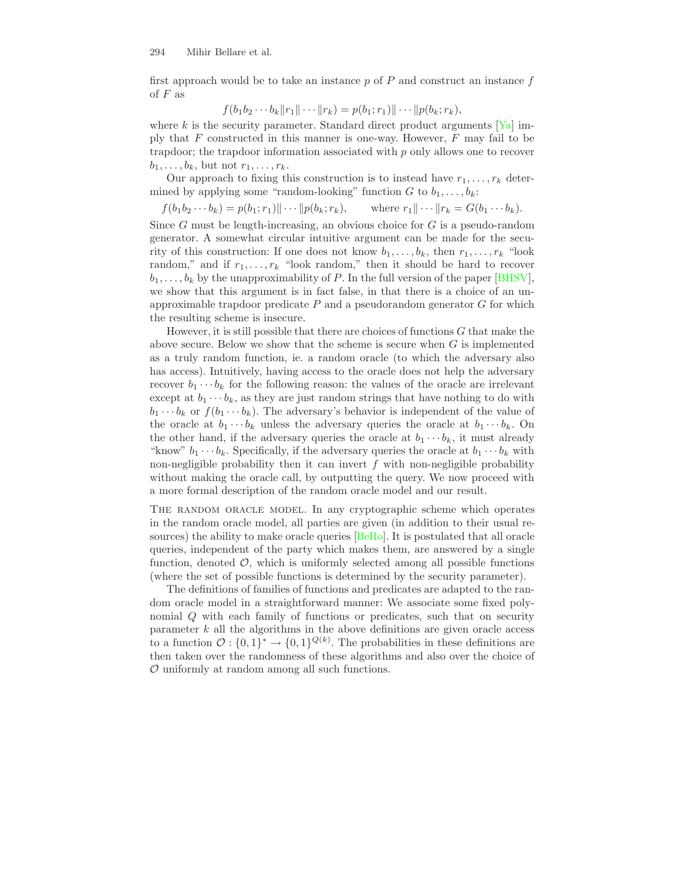<span id="page-11-3"></span><span id="page-11-2"></span>first approach would be to take an instance  $p$  of  $P$  and construct an instance  $f$ of  $F$  as

$$
f(b_1b_2\cdots b_k||r_1||\cdots||r_k) = p(b_1;r_1)||\cdots||p(b_k;r_k),
$$

where k is the security parameter. Standard direct product arguments  $[Ya]$  im-<br>ply that E constructed in this manner is one-way. However, E may fail to be ply that  $F$  constructed in this manner is one-way. However,  $F$  may fail to be trapdoor; the trapdoor information associated with  $p$  only allows one to recover  $b_1,\ldots,b_k$ , but not  $r_1,\ldots,r_k$ .

Our approach to fixing this construction is to instead have  $r_1, \ldots, r_k$  determined by applying some "random-looking" function G to  $b_1, \ldots, b_k$ :<br>  $f(b_1b_2 \cdots b_k) = p(b_1; r_1) || \cdots || p(b_k; r_k),$  where  $r_1 || \cdots || r_k = G(b_1 \cdots b_k).$ 

 $f(b_1b_2\cdots b_k) = p(b_1; r_1)\|\cdots\|p(b_k; r_k),$ 

Since  $G$  must be length-increasing, an obvious choice for  $G$  is a pseudo-random generator. A somewhat circular intuitive argument can be made for the security of this construction: If one does not know  $b_1,\ldots,b_k$ , then  $r_1,\ldots,r_k$  "look random," and if  $r_1, \ldots, r_k$  "look random," then it should be hard to recover  $b_1,\ldots,b_k$  by the unapproximability of P. In the full version of the paper [\[BHSV\]](#page-15-3), we show that this argument is in fact false, in that there is a choice of an unapproximable trapdoor predicate  $P$  and a pseudorandom generator  $G$  for which the resulting scheme is insecure.

However, it is still possible that there are choices of functions  $G$  that make the above secure. Below we show that the scheme is secure when  $G$  is implemented as a truly random function, ie. a random oracle (to which the adversary also has access). Intuitively, having access to the oracle does not help the adversary recover  $b_1 \cdots b_k$  for the following reason: the values of the oracle are irrelevant except at  $b_1 \cdots b_k$ , as they are just random strings that have nothing to do with  $b_1 \cdots b_k$  or  $f(b_1 \cdots b_k)$ . The adversary's behavior is independent of the value of the oracle at  $b_1 \cdots b_k$  unless the adversary queries the oracle at  $b_1 \cdots b_k$ . On the other hand, if the adversary queries the oracle at  $b_1 \cdots b_k$ , it must already "know"  $b_1 \cdots b_k$ . Specifically, if the adversary queries the oracle at  $b_1 \cdots b_k$  with non-negligible probability then it can invert  $f$  with non-negligible probability without making the oracle call, by outputting the query. We now proceed with a more formal description of the random oracle model and our result.

THE RANDOM ORACLE MODEL. In any cryptographic scheme which operates in the random oracle model, all parties are given (in addition to their usual re-sources) the ability to make oracle queries [\[BeRo\]](#page-15-2). It is postulated that all oracle queries, independent of the party which makes them, are answered by a single function, denoted  $\mathcal{O}$ , which is uniformly selected among all possible functions (where the set of possible functions is determined by the security parameter).

<span id="page-11-1"></span><span id="page-11-0"></span>The definitions of families of functions and predicates are adapted to the random oracle model in a straightforward manner: We associate some fixed polynomial Q with each family of functions or predicates, such that on security parameter  $k$  all the algorithms in the above definitions are given oracle access to a function  $\mathcal{O}: \{0,1\}^* \to \{0,1\}^{Q(k)}$ . The probabilities in these definitions are<br>then taken over the randomness of these algorithms and also over the choice of then taken over the randomness of these algorithms and also over the choice of  $\mathcal O$  uniformly at random among all such functions.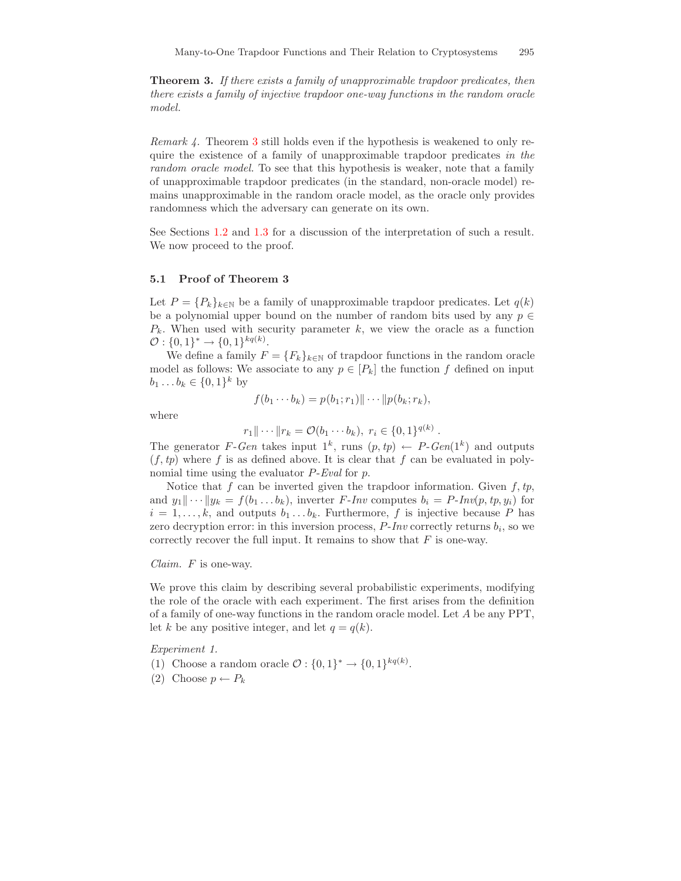**Theorem 3.** *If there exists a family of unapproximable trapdoor predicates, then there exists a family of injective trapdoor one-way functions in the random oracle model.*

*Remark 4.* Theorem [3](#page-11-1) still holds even if the hypothesis is weakened to only require the existence of a family of unapproximable trapdoor predicates *in the random oracle model.* To see that this hypothesis is weaker, note that a family of unapproximable trapdoor predicates (in the standard, non-oracle model) remains unapproximable in the random oracle model, as the oracle only provides randomness which the adversary can generate on its own.

See Sections [1.2](#page-2-1) and [1.3](#page-3-0) for a discussion of the interpretation of such a result. We now proceed to the proof.

### **5.1 Proof of Theorem 3**

Let  $P = \{P_k\}_{k \in \mathbb{N}}$  be a family of unapproximable trapdoor predicates. Let  $q(k)$ be a polynomial upper bound on the number of random bits used by any  $p \in$  $P_k$ . When used with security parameter k, we view the oracle as a function  $\mathcal{O}: \{0,1\}^* \to \{0,1\}^{kq(k)}.$ <br>We define a family F

We define a family  $F = \{F_k\}_{k\in\mathbb{N}}$  of trapdoor functions in the random oracle model as follows: We associate to any  $p \in [P_k]$  the function f defined on input  $b_1 \ldots b_k \in \{0,1\}^k$  by

$$
f(b_1\cdots b_k)=p(b_1;r_1)\|\cdots\|p(b_k;r_k),
$$

where

$$
r_1 \|\cdots \| r_k = \mathcal{O}(b_1 \cdots b_k), \ r_i \in \{0, 1\}^{q(k)}.
$$

The generator  $F$ -*Gen* takes input  $1^k$ , runs  $(p, tp) \leftarrow P$ -*Gen*( $1^k$ ) and outputs  $(f, tn)$  where  $f$  is as defined above. It is clear that  $f$  can be evaluated in poly- $(f, tp)$  where f is as defined above. It is clear that f can be evaluated in polynomial time using the evaluator P-*Eval* for p.

Notice that  $f$  can be inverted given the trapdoor information. Given  $f$ ,  $tp$ , and  $y_1 \|\cdots \| y_k = f(b_1 \ldots b_k)$ , inverter F-*Inv* computes  $b_i = P$ -*Inv*( $p, ty_i$ ) for  $i = 1, \ldots, k$ , and outputs  $b_1 \ldots b_k$ . Furthermore, f is injective because P has zero decryption error: in this inversion process,  $P$ - $Inv$  correctly returns  $b_i$ , so we correctly recover the full input. It remains to show that  $F$  is one-way.

*Claim.* F is one-way.

We prove this claim by describing several probabilistic experiments, modifying the role of the oracle with each experiment. The first arises from the definition of a family of one-way functions in the random oracle model. Let A be any PPT, let k be any positive integer, and let  $q = q(k)$ .

<span id="page-12-1"></span><span id="page-12-0"></span>*Experiment 1.*

- (1) Choose a random oracle  $\mathcal{O}: \{0,1\}^* \to \{0,1\}^{kq(k)}$ .<br>(2) Choose  $n \in \mathbb{R}$ .
- (2) Choose  $p \leftarrow P_k$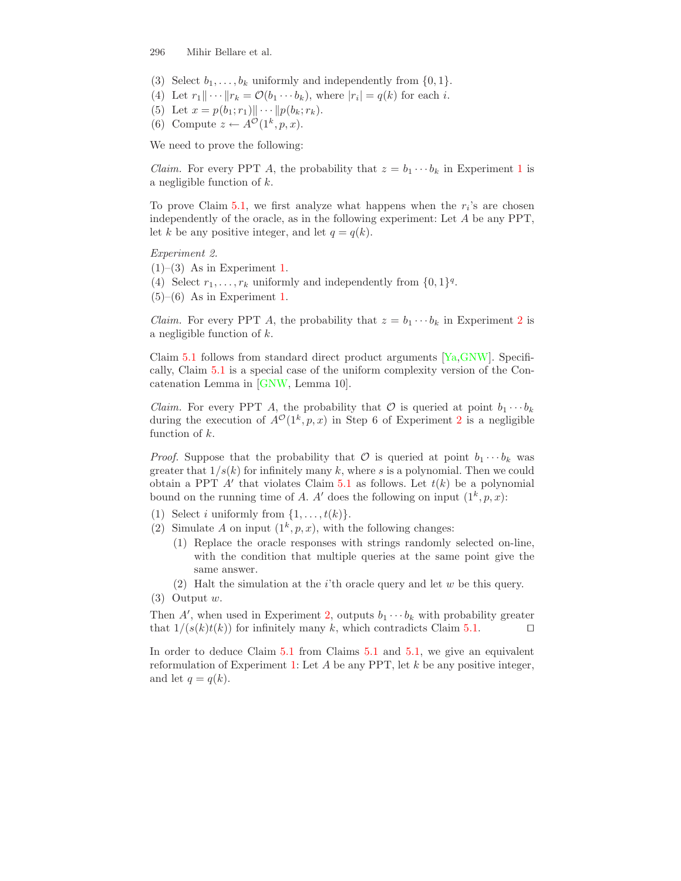- <span id="page-13-8"></span><span id="page-13-7"></span>(3) Select  $b_1,\ldots,b_k$  uniformly and independently from  $\{0,1\}.$
- (4) Let  $r_1\|\cdots\|r_k = \mathcal{O}(b_1\cdots b_k)$ , where  $|r_i| = q(k)$  for each i.
- <span id="page-13-4"></span><span id="page-13-0"></span>(5) Let  $x = p(b_1; r_1) \| \cdots \| p(b_k; r_k)$ .
- (6) Compute  $z \leftarrow A^{\mathcal{O}}(1^k, p, x)$ .

We need to prove the following:

*Claim.* For every PPT A, the probability that  $z = b_1 \cdots b_k$  $z = b_1 \cdots b_k$  $z = b_1 \cdots b_k$  in Experiment 1 is a negligible function of k.

To prove Claim [5.1,](#page-13-0) we first analyze what happens when the  $r_i$ 's are chosen independently of the oracle, as in the following experiment: Let A be any PPT, let k be any positive integer, and let  $q = q(k)$ .

<span id="page-13-5"></span><span id="page-13-1"></span>*Experiment 2.*

- <span id="page-13-6"></span><span id="page-13-2"></span> $(1)$ – $(3)$  As in Experiment [1.](#page-12-0)
- (4) Select  $r_1,\ldots,r_k$  uniformly and independently from  $\{0,1\}^q$ .
- $(5)-(6)$  As in Experiment [1.](#page-12-0)

*Claim.* For every PPT A, the probability that  $z = b_1 \cdots b_k$  in Experiment [2](#page-13-1) is a negligible function of k.

Claim [5.1](#page-13-2) follows from standard direct product arguments [\[Ya,](#page-16-1)[GNW\]](#page-15-15). Specifically, Claim [5.1](#page-13-2) is a special case of the uniform complexity version of the Concatenation Lemma in [\[GNW,](#page-15-15) Lemma 10].

*Claim.* For every PPT A, the probability that  $\mathcal{O}$  is queried at point  $b_1 \cdots b_k$ during the execution of  $A^{\mathcal{O}}(1^k, p, x)$  in Step 6 of Experiment [2](#page-13-1) is a negligible function of  $k$ .

*Proof.* Suppose that the probability that  $\mathcal O$  is queried at point  $b_1 \cdots b_k$  was greater that  $1/s(k)$  for infinitely many k, where s is a polynomial. Then we could obtain a PPT  $A'$  that violates Claim [5.1](#page-13-2) as follows. Let  $t(k)$  be a polynomial bound on the running time of A. A' does the following on input  $(1^k, p, x)$ :

- (1) Select *i* uniformly from  $\{1,\ldots,t(k)\}.$
- (2) Simulate A on input  $(1^k, p, x)$ , with the following changes:
	- (1) Replace the oracle responses with strings randomly selected on-line, with the condition that multiple queries at the same point give the same answer.
	- (2) Halt the simulation at the *i*'th oracle query and let w be this query.
- (3) Output w.

Then A', when used in Experiment [2,](#page-13-1) outputs  $b_1 \cdots b_k$  with probability greater<br>that  $1/(s(k)t(k))$  for infinitely many k, which contradicts Claim 5.1 that  $1/(s(k)t(k))$  for infinitely many k, which contradicts Claim [5.1.](#page-13-2)  $\square$ 

<span id="page-13-3"></span>In order to deduce Claim [5.1](#page-13-0) from Claims [5.1](#page-13-2) and [5.1,](#page-13-2) we give an equivalent reformulation of Experiment [1:](#page-12-0) Let  $A$  be any PPT, let  $k$  be any positive integer, and let  $q = q(k)$ .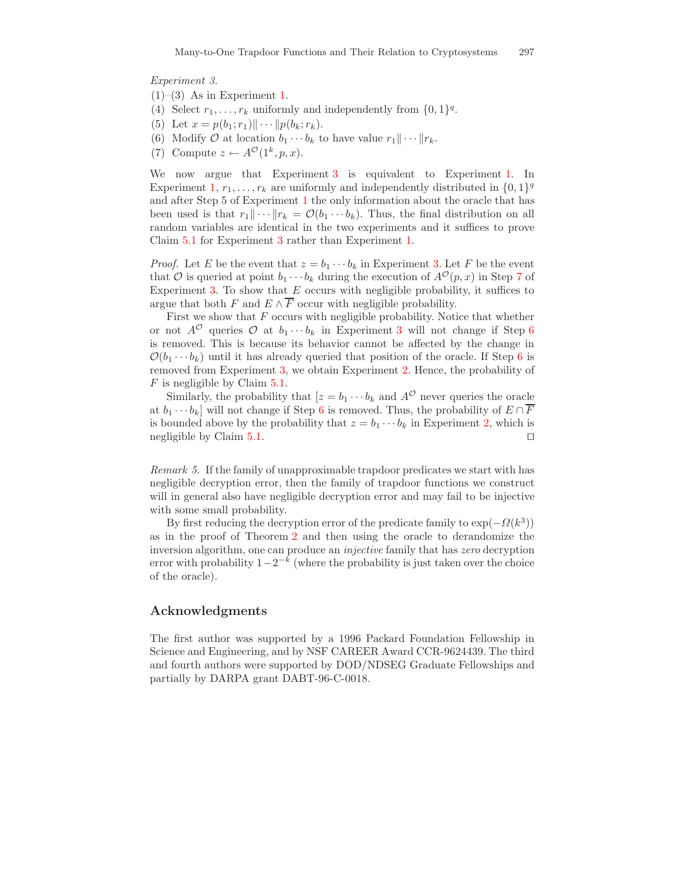*Experiment 3.*

- $(1)$ – $(3)$  As in Experiment [1.](#page-12-1)
- (4) Select  $r_1,\ldots,r_k$  uniformly and independently from  $\{0,1\}^q$ .
- <span id="page-14-2"></span>(5) Let  $x = p(b_1; r_1)\|\cdots\|p(b_k; r_k)$ .
- <span id="page-14-1"></span>(6) Modify  $\mathcal{O}$  at location  $b_1 \cdots b_k$  to have value  $r_1 \cdots \cdots \cdots \cdots$
- (7) Compute  $z \leftarrow A^{\mathcal{O}}(1^k, p, x)$ .

We now argue that Experiment [3](#page-13-3) is equivalent to Experiment [1.](#page-12-1) In Experiment [1,](#page-12-1)  $r_1, \ldots, r_k$  are uniformly and independently distributed in  $\{0, 1\}^q$ and after Step 5 of Experiment [1](#page-12-1) the only information about the oracle that has been used is that  $r_1\|\cdots\|r_k = \mathcal{O}(b_1\cdots b_k)$ . Thus, the final distribution on all random variables are identical in the two experiments and it suffices to prove Claim [5.1](#page-13-4) for Experiment [3](#page-13-3) rather than Experiment [1.](#page-12-1)

*Proof.* Let E be the event that  $z = b_1 \cdots b_k$  in Experiment [3.](#page-13-3) Let F be the event that O is queried at point  $b_1 \cdots b_k$  during the execution of  $A^{\mathcal{O}}(p, x)$  in Step [7](#page-14-1) of Experiment [3.](#page-13-3) To show that  $E$  occurs with negligible probability, it suffices to argue that both  $F$  and  $E \wedge \overline{F}$  occur with negligible probability.

First we show that  $F$  occurs with negligible probability. Notice that whether or not  $A^{\mathcal{O}}$  queries  $\mathcal{O}$  at  $b_1 \cdots b_k$  in Experiment [3](#page-13-3) will not change if Step [6](#page-14-2) is removed. This is because its behavior cannot be affected by the change in  $\mathcal{O}(b_1 \cdots b_k)$  until it has already queried that position of the oracle. If Step [6](#page-14-2) is removed from Experiment [3,](#page-13-3) we obtain Experiment [2.](#page-13-5) Hence, the probability of F is negligible by Claim [5.1.](#page-13-6)

Similarly, the probability that  $[z = b_1 \cdots b_k]$  and  $A^{\mathcal{O}}$  never queries the oracle at  $b_1 \cdots b_k$  will not change if Step [6](#page-14-2) is removed. Thus, the probability of  $E \cap \overline{F}$ is bounded above by the probability that  $z = b_1 \cdots b_k$  in Experiment [2,](#page-13-5) which is negligible by Claim 5.1. negligible by Claim  $5.1$ .

<span id="page-14-0"></span>*Remark 5.* If the family of unapproximable trapdoor predicates we start with has negligible decryption error, then the family of trapdoor functions we construct will in general also have negligible decryption error and may fail to be injective with some small probability.

By first reducing the decryption error of the predicate family to  $\exp(-\Omega(k^3))$ as in the proof of Theorem [2](#page-8-1) and then using the oracle to derandomize the inversion algorithm, one can produce an *injective* family that has *zero* decryption error with probability  $1-2^{-k}$  (where the probability is just taken over the choice of the oracle).

# **Acknowledgments**

The first author was supported by a 1996 Packard Foundation Fellowship in Science and Engineering, and by NSF CAREER Award CCR-9624439. The third and fourth authors were supported by DOD/NDSEG Graduate Fellowships and partially by DARPA grant DABT-96-C-0018.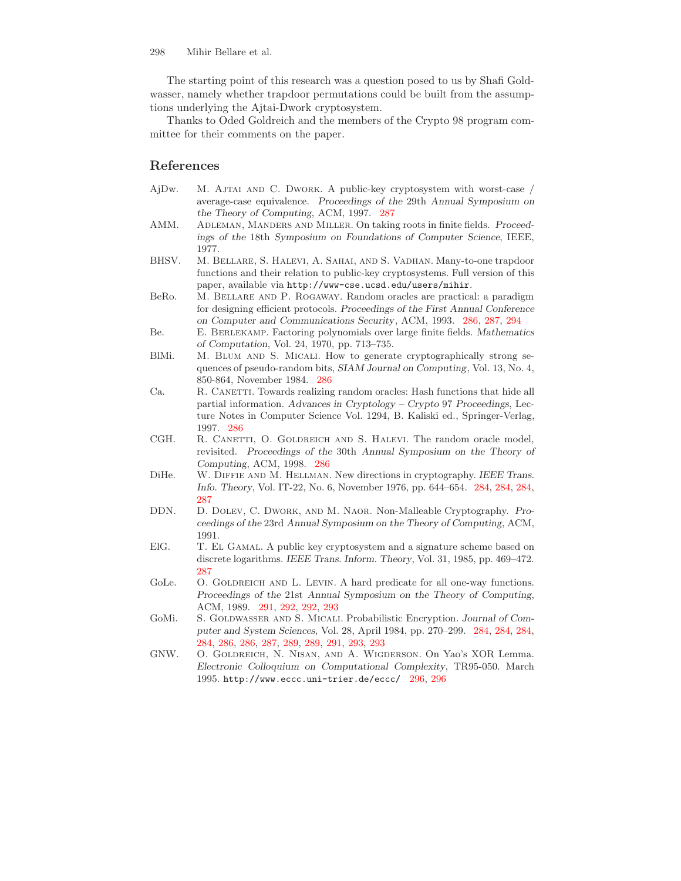The starting point of this research was a question posed to us by Shafi Goldwasser, namely whether trapdoor permutations could be built from the assumptions underlying the Ajtai-Dwork cryptosystem.

Thanks to Oded Goldreich and the members of the Crypto 98 program committee for their comments on the paper.

# **References**

- <span id="page-15-10"></span>AjDw. M. Ajtai and C. Dwork. A public-key cryptosystem with worst-case / average-case equivalence. *Proceedings of the* 29th *Annual Symposium on the Theory of Computing*, ACM, 1997. [287](#page-4-1)
- AMM. Adleman, Manders and Miller. On taking roots in finite fields. *Proceedings of the* 18th *Symposium on Foundations of Computer Science*, IEEE, 1977.
- <span id="page-15-12"></span><span id="page-15-3"></span>BHSV. M. Bellare, S. Halevi, A. Sahai, and S. Vadhan. Many-to-one trapdoor functions and their relation to public-key cryptosystems. Full version of this paper, available via http://www-cse.ucsd.edu/users/mihir.
- <span id="page-15-9"></span><span id="page-15-2"></span>BeRo. M. Bellare and P. Rogaway. Random oracles are practical: a paradigm for designing efficient protocols. *Proceedings of the First Annual Conference on Computer and Communications Security*, ACM, 1993. [286,](#page-3-1) [287,](#page-4-1) [294](#page-11-2)
- Be. E. Berlekamp. Factoring polynomials over large finite fields. *Mathematics of Computation*, Vol. 24, 1970, pp. 713–735.
- <span id="page-15-4"></span>BlMi. M. BLUM AND S. MICALI. How to generate cryptographically strong sequences of pseudo-random bits, *SIAM Journal on Computing*, Vol. 13, No. 4, 850-864, November 1984. [286](#page-3-1)
- <span id="page-15-5"></span>Ca. R. CANETTI. Towards realizing random oracles: Hash functions that hide all partial information. *Advances in Cryptology – Crypto* 97 *Proceedings*, Lecture Notes in Computer Science Vol. 1294, B. Kaliski ed., Springer-Verlag, 1997. [286](#page-3-1)
- <span id="page-15-6"></span>CGH. R. CANETTI, O. GOLDREICH AND S. HALEVI. The random oracle model, revisited. *Proceedings of the* 30th *Annual Symposium on the Theory of Computing*, ACM, 1998. [286](#page-3-1)
- <span id="page-15-7"></span><span id="page-15-1"></span>DiHe. W. Diffie and M. Hellman. New directions in cryptography. *IEEE Trans. Info. Theory*, Vol. IT-22, No. 6, November 1976, pp. 644–654. [284,](#page-1-0) [284,](#page-1-0) [284,](#page-1-0) [287](#page-4-1)
- DDN. D. Dolev, C. Dwork, and M. Naor. Non-Malleable Cryptography. *Proceedings of the* 23rd *Annual Symposium on the Theory of Computing*, ACM, 1991.
- <span id="page-15-11"></span>ElG. T. El Gamal. A public key cryptosystem and a signature scheme based on discrete logarithms. *IEEE Trans. Inform. Theory*, Vol. 31, 1985, pp. 469–472. [287](#page-4-1)
- <span id="page-15-14"></span><span id="page-15-13"></span>GoLe. O. GOLDREICH AND L. LEVIN. A hard predicate for all one-way functions. *Proceedings of the* 21st *Annual Symposium on the Theory of Computing*, ACM, 1989. [291,](#page-8-2) [292,](#page-9-0) [292,](#page-9-0) [293](#page-10-1)
- <span id="page-15-8"></span><span id="page-15-0"></span>GoMi. S. GOLDWASSER AND S. MICALI. Probabilistic Encryption. *Journal of Computer and System Sciences*, Vol. 28, April 1984, pp. 270–299. [284,](#page-1-0) [284,](#page-1-0) [284,](#page-1-0) [284,](#page-1-0) [286,](#page-3-1) [286,](#page-3-1) [287,](#page-4-1) [289,](#page-6-1) [289,](#page-6-1) [291,](#page-8-2) [293,](#page-10-1) [293](#page-10-1)
- <span id="page-15-15"></span>GNW. O. Goldreich, N. Nisan, and A. Wigderson. On Yao's XOR Lemma. *Electronic Colloquium on Computational Complexity*, TR95-050. March 1995. http://www.eccc.uni-trier.de/eccc/ [296,](#page-13-7) [296](#page-13-7)